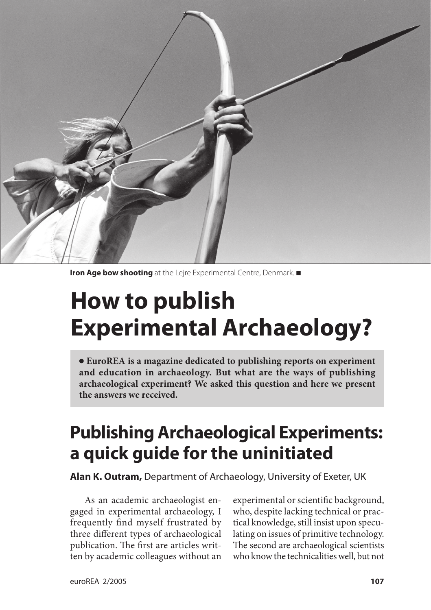

**Iron Age bow shooting** at the Lejre Experimental Centre, Denmark.

# **How to publish Experimental Archaeology?**

 **EuroREA is a magazine dedicated to publishing reports on experiment and education in archaeology. But what are the ways of publishing archaeological experiment? We asked this question and here we present the answers we received.**

# **Publishing Archaeological Experiments: a quick guide for the uninitiated**

**Alan K. Outram,** Department of Archaeology, University of Exeter, UK

As an academic archaeologist engaged in experimental archaeology, I frequently find myself frustrated by three different types of archaeological publication. The first are articles written by academic colleagues without an experimental or scientific background, who, despite lacking technical or practical knowledge, still insist upon speculating on issues of primitive technology. The second are archaeological scientists who know the technicalities well, but not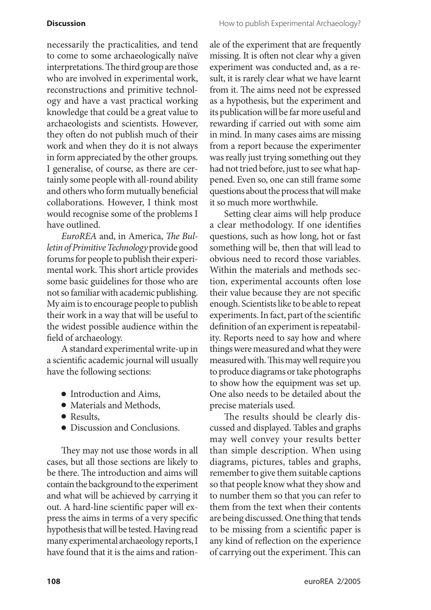necessarily the practicalities, and tend to come to some archaeologically naïve interpretations. The third group are those who are involved in experimental work, reconstructions and primitive technology and have a vast practical working knowledge that could be a great value to archaeologists and scientists. However, they often do not publish much of their work and when they do it is not always in form appreciated by the other groups. I generalise, of course, as there are certainly some people with all-round ability and others who form mutually beneficial collaborations. However, I think most would recognise some of the problems I have outlined.

*EuroREA* and, in America, *The Bulletin of Primitive Technology* provide good forums for people to publish their experimental work. This short article provides some basic guidelines for those who are not so familiar with academic publishing. My aim is to encourage people to publish their work in a way that will be useful to the widest possible audience within the field of archaeology.

A standard experimental write-up in a scientific academic journal will usually have the following sections:

- Introduction and Aims,
- Materials and Methods,
- Results,
- Discussion and Conclusions.

They may not use those words in all cases, but all those sections are likely to be there. The introduction and aims will contain the background to the experiment and what will be achieved by carrying it out. A hard-line scientific paper will express the aims in terms of a very specific hypothesis that will be tested. Having read many experimental archaeology reports, I have found that it is the aims and rationale of the experiment that are frequently missing. It is often not clear why a given experiment was conducted and, as a result, it is rarely clear what we have learnt from it. The aims need not be expressed as a hypothesis, but the experiment and its publication will be far more useful and rewarding if carried out with some aim in mind. In many cases aims are missing from a report because the experimenter was really just trying something out they had not tried before, just to see what happened. Even so, one can still frame some questions about the process that will make it so much more worthwhile.

Setting clear aims will help produce a clear methodology. If one identifies questions, such as how long, hot or fast something will be, then that will lead to obvious need to record those variables. Within the materials and methods section, experimental accounts often lose their value because they are not specific enough. Scientists like to be able to repeat experiments. In fact, part of the scientific definition of an experiment is repeatability. Reports need to say how and where things were measured and what they were measured with. This may well require you to produce diagrams or take photographs to show how the equipment was set up. One also needs to be detailed about the precise materials used.

The results should be clearly discussed and displayed. Tables and graphs may well convey your results better than simple description. When using diagrams, pictures, tables and graphs, remember to give them suitable captions so that people know what they show and to number them so that you can refer to them from the text when their contents are being discussed. One thing that tends to be missing from a scientific paper is any kind of reflection on the experience of carrying out the experiment. This can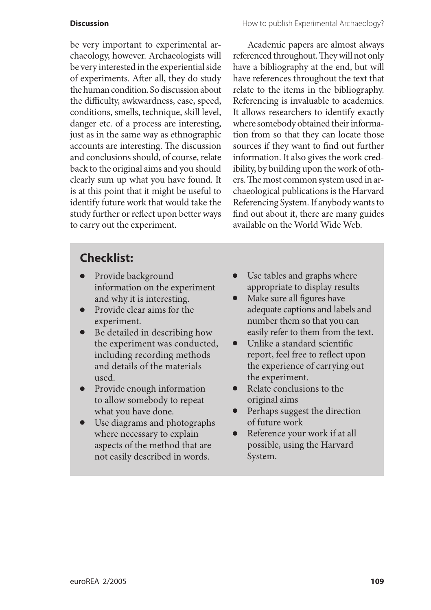be very important to experimental archaeology, however. Archaeologists will be very interested in the experiential side of experiments. After all, they do study the human condition. So discussion about the difficulty, awkwardness, ease, speed, conditions, smells, technique, skill level, danger etc. of a process are interesting, just as in the same way as ethnographic accounts are interesting. The discussion and conclusions should, of course, relate back to the original aims and you should clearly sum up what you have found. It is at this point that it might be useful to identify future work that would take the study further or reflect upon better ways to carry out the experiment.

Academic papers are almost always referenced throughout. They will not only have a bibliography at the end, but will have references throughout the text that relate to the items in the bibliography. Referencing is invaluable to academics. It allows researchers to identify exactly where somebody obtained their information from so that they can locate those sources if they want to find out further information. It also gives the work credibility, by building upon the work of others. The most common system used in archaeological publications is the Harvard Referencing System. If anybody wants to find out about it, there are many guides available on the World Wide Web.

# **Checklist:**

- Provide background information on the experiment and why it is interesting.
- Provide clear aims for the experiment.
- Be detailed in describing how the experiment was conducted, including recording methods and details of the materials used.
- Provide enough information to allow somebody to repeat what you have done.
- Use diagrams and photographs where necessary to explain aspects of the method that are not easily described in words.
- Use tables and graphs where appropriate to display results
- Make sure all figures have adequate captions and labels and number them so that you can easily refer to them from the text.
- Unlike a standard scientific report, feel free to reflect upon the experience of carrying out the experiment.
- Relate conclusions to the original aims
- Perhaps suggest the direction of future work
- Reference your work if at all possible, using the Harvard System.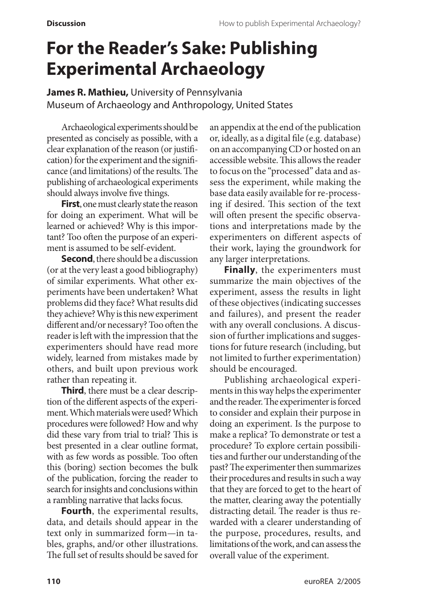# **For the Reader's Sake: Publishing Experimental Archaeology**

**James R. Mathieu,** University of Pennsylvania Museum of Archaeology and Anthropology, United States

Archaeological experiments should be presented as concisely as possible, with a clear explanation of the reason (or justification) for the experiment and the significance (and limitations) of the results. The publishing of archaeological experiments should always involve five things.

**First**, one must clearly state the reason for doing an experiment. What will be learned or achieved? Why is this important? Too often the purpose of an experiment is assumed to be self-evident.

**Second**, there should be a discussion (or at the very least a good bibliography) of similar experiments. What other experiments have been undertaken? What problems did they face? What results did they achieve? Why is this new experiment different and/or necessary? Too often the reader is left with the impression that the experimenters should have read more widely, learned from mistakes made by others, and built upon previous work rather than repeating it.

**Third**, there must be a clear description of the different aspects of the experiment. Which materials were used? Which procedures were followed? How and why did these vary from trial to trial? This is best presented in a clear outline format, with as few words as possible. Too often this (boring) section becomes the bulk of the publication, forcing the reader to search for insights and conclusions within a rambling narrative that lacks focus.

**Fourth**, the experimental results, data, and details should appear in the text only in summarized form—in tables, graphs, and/or other illustrations. The full set of results should be saved for an appendix at the end of the publication or, ideally, as a digital file (e.g. database) on an accompanying CD or hosted on an accessible website. This allows the reader to focus on the "processed" data and assess the experiment, while making the base data easily available for re-processing if desired. This section of the text will often present the specific observations and interpretations made by the experimenters on different aspects of their work, laying the groundwork for any larger interpretations.

**Finally**, the experimenters must summarize the main objectives of the experiment, assess the results in light of these objectives (indicating successes and failures), and present the reader with any overall conclusions. A discussion of further implications and suggestions for future research (including, but not limited to further experimentation) should be encouraged.

Publishing archaeological experiments in this way helps the experimenter and the reader. The experimenter is forced to consider and explain their purpose in doing an experiment. Is the purpose to make a replica? To demonstrate or test a procedure? To explore certain possibilities and further our understanding of the past? The experimenter then summarizes their procedures and results in such a way that they are forced to get to the heart of the matter, clearing away the potentially distracting detail. The reader is thus rewarded with a clearer understanding of the purpose, procedures, results, and limitations of the work, and can assess the overall value of the experiment.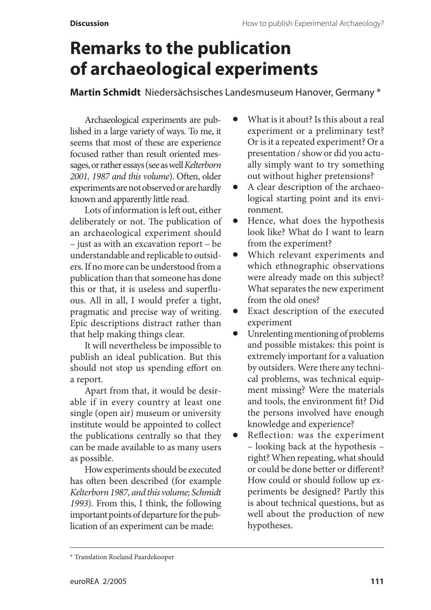# **Remarks to the publication of archaeological experiments**

**Martin Schmidt** Niedersächsisches Landesmuseum Hanover, Germany \*

Archaeological experiments are published in a large variety of ways. To me, it seems that most of these are experience focused rather than result oriented messages, or rather essays (see as well *Kelterborn 2001, 1987 and this volume*). Often, older experiments are not observed or are hardly known and apparently little read.

Lots of information is left out, either deliberately or not. The publication of an archaeological experiment should – just as with an excavation report – be understandable and replicable to outsiders. If no more can be understood from a publication than that someone has done this or that, it is useless and superfluous. All in all, I would prefer a tight, pragmatic and precise way of writing. Epic descriptions distract rather than that help making things clear.

It will nevertheless be impossible to publish an ideal publication. But this should not stop us spending effort on a report.

Apart from that, it would be desirable if in every country at least one single (open air) museum or university institute would be appointed to collect the publications centrally so that they can be made available to as many users as possible.

How experiments should be executed has often been described (for example *Kelterborn 1987, and this volume; Schmidt 1993*). From this, I think, the following important points of departure for the publication of an experiment can be made:

- What is it about? Is this about a real experiment or a preliminary test? Or is it a repeated experiment? Or a presentation / show or did you actually simply want to try something out without higher pretensions?
- A clear description of the archaeological starting point and its environment.
- Hence, what does the hypothesis look like? What do I want to learn from the experiment?
- Which relevant experiments and which ethnographic observations were already made on this subject? What separates the new experiment from the old ones?
- Exact description of the executed experiment
- Unrelenting mentioning of problems and possible mistakes: this point is extremely important for a valuation by outsiders. Were there any technical problems, was technical equipment missing? Were the materials and tools, the environment fit? Did the persons involved have enough knowledge and experience?
- Reflection: was the experiment – looking back at the hypothesis – right? When repeating, what should or could be done better or different? How could or should follow up experiments be designed? Partly this is about technical questions, but as well about the production of new hypotheses.

<sup>\*</sup> Translation Roeland Paardekooper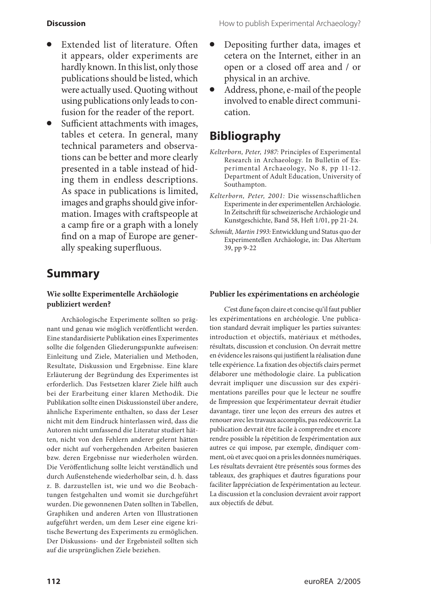- Extended list of literature. Often it appears, older experiments are hardly known. In this list, only those publications should be listed, which were actually used. Quoting without using publications only leads to confusion for the reader of the report.
- Sufficient attachments with images, tables et cetera. In general, many technical parameters and observations can be better and more clearly presented in a table instead of hiding them in endless descriptions. As space in publications is limited, images and graphs should give information. Images with craftspeople at a camp fire or a graph with a lonely find on a map of Europe are generally speaking superfluous.

## **Summary**

#### **Wie sollte Experimentelle Archäologie publiziert werden?**

Archäologische Experimente sollten so prägnant und genau wie möglich veröffentlicht werden. Eine standardisierte Publikation eines Experimentes sollte die folgenden Gliederungspunkte aufweisen: Einleitung und Ziele, Materialien und Methoden, Resultate, Diskussion und Ergebnisse. Eine klare Erläuterung der Begründung des Experimentes ist erforderlich. Das Festsetzen klarer Ziele hilft auch bei der Erarbeitung einer klaren Methodik. Die Publikation sollte einen Diskussionsteil über andere, ähnliche Experimente enthalten, so dass der Leser nicht mit dem Eindruck hinterlassen wird, dass die Autoren nicht umfassend die Literatur studiert hätten, nicht von den Fehlern anderer gelernt hätten oder nicht auf vorhergehenden Arbeiten basieren bzw. deren Ergebnisse nur wiederholen würden. Die Veröffentlichung sollte leicht verständlich und durch Außenstehende wiederholbar sein, d. h. dass z. B. darzustellen ist, wie und wo die Beobachtungen festgehalten und womit sie durchgeführt wurden. Die gewonnenen Daten sollten in Tabellen, Graphiken und anderen Arten von Illustrationen aufgeführt werden, um dem Leser eine eigene kritische Bewertung des Experiments zu ermöglichen. Der Diskussions- und der Ergebnisteil sollten sich auf die ursprünglichen Ziele beziehen.

- Depositing further data, images et cetera on the Internet, either in an open or a closed off area and / or physical in an archive.
- Address, phone, e-mail of the people involved to enable direct communication.

# **Bibliography**

- *Kelterborn, Peter, 1987:* Principles of Experimental Research in Archaeology. In Bulletin of Expe rimental Archaeology, No 8, pp 11-12. Department of Adult Education, University of Southampton.
- *Kelterborn, Peter, 2001:* Die wissenschaftlichen Experimente in der experimentellen Archäologie. In Zeitschrift für schweizerische Archäologie und Kunstgeschichte, Band 58, Heft 1/01, pp 21-24.
- *Schmidt, Martin 1993:* Entwicklung und Status quo der Experimentellen Archäologie, in: Das Altertum 39, pp 9-22

#### **Publier les expérimentations en archéologie**

C'est ďune façon claire et concise qu'il faut publier les expérimentations en archéologie. Une publication standard devrait impliquer les parties suivantes: introduction et objectifs, matériaux et méthodes, résultats, discussion et conclusion. On devrait mettre en évidence les raisons qui justifient la réalisation ďune telle expérience. La fixation des objectifs clairs permet ďélaborer une méthodologie claire. La publication devrait impliquer une discussion sur des expérimentations pareilles pour que le lecteur ne souffre de ľimpression que ľexpérimentateur devrait étudier davantage, tirer une leçon des erreurs des autres et renouer avec les travaux accomplis, pas redécouvrir. La publication devrait être facile à comprendre et encore rendre possible la répétition de ľexpérimentation aux autres ce qui impose, par exemple, ďindiquer comment, où et avec quoi on a pris les données numériques. Les résultats devraient être présentés sous formes des tableaux, des graphiques et ďautres figurations pour faciliter ľappréciation de ľexpérimentation au lecteur. La discussion et la conclusion devraient avoir rapport aux objectifs de début.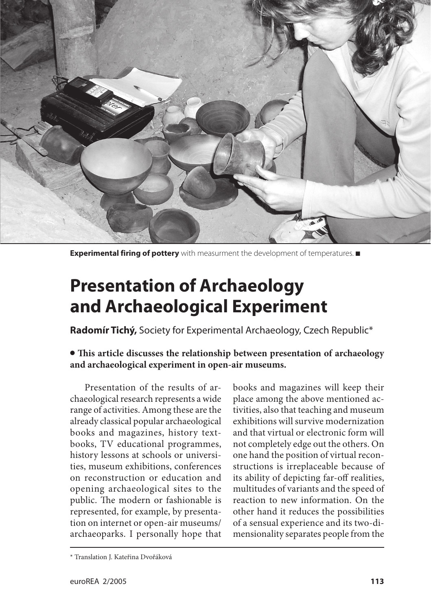

**Experimental firing of pottery** with measurment the development of temperatures.

# **Presentation of Archaeology and Archaeological Experiment**

**Radomír Tichý,** Society for Experimental Archaeology, Czech Republic\*

 **This article discusses the relationship between presentation of archaeology and archaeological experiment in open-air museums.**

Presentation of the results of archaeological research represents a wide range of activities. Among these are the already classical popular archaeological books and magazines, history textbooks, TV educational programmes, history lessons at schools or universities, museum exhibitions, conferences on reconstruction or education and opening archaeological sites to the public. The modern or fashionable is represented, for example, by presentation on internet or open-air museums/ archaeoparks. I personally hope that

books and magazines will keep their place among the above mentioned activities, also that teaching and museum exhibitions will survive modernization and that virtual or electronic form will not completely edge out the others. On one hand the position of virtual reconstructions is irreplaceable because of its ability of depicting far-off realities, multitudes of variants and the speed of reaction to new information. On the other hand it reduces the possibilities of a sensual experience and its two-dimensionality separates people from the

<sup>\*</sup> Translation J. Kateřina Dvořáková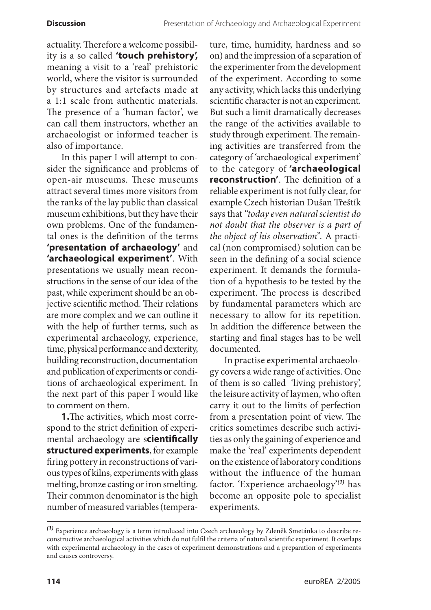actuality. Therefore a welcome possibility is a so called **'touch prehistory',** meaning a visit to a 'real' prehistoric world, where the visitor is surrounded by structures and artefacts made at a 1:1 scale from authentic materials. The presence of a 'human factor', we can call them instructors, whether an archaeologist or informed teacher is also of importance.

In this paper I will attempt to consider the significance and problems of open-air museums. These museums attract several times more visitors from the ranks of the lay public than classical museum exhibitions, but they have their own problems. One of the fundamental ones is the definition of the terms **'presentation of archaeology'** and **'archaeological experiment'**. With presentations we usually mean reconstructions in the sense of our idea of the past, while experiment should be an objective scientific method. Their relations are more complex and we can outline it with the help of further terms, such as experimental archaeology, experience, time, physical performance and dexterity, building reconstruction, documentation and publication of experiments or conditions of archaeological experiment. In the next part of this paper I would like to comment on them.

**1.**The activities, which most correspond to the strict definition of experimental archaeology are s**cientifically structured experiments**, for example firing pottery in reconstructions of various types of kilns, experiments with glass melting, bronze casting or iron smelting. Their common denominator is the high number of measured variables (temperature, time, humidity, hardness and so on) and the impression of a separation of the experimenter from the development of the experiment. According to some any activity, which lacks this underlying scientific character is not an experiment. But such a limit dramatically decreases the range of the activities available to study through experiment. The remaining activities are transferred from the category of 'archaeological experiment' to the category of **'archaeological reconstruction'**. The definition of a reliable experiment is not fully clear, for example Czech historian Dušan Třeštík says that *"today even natural scientist do not doubt that the observer is a part of the object of his observation".* A practical (non compromised) solution can be seen in the defining of a social science experiment. It demands the formulation of a hypothesis to be tested by the experiment. The process is described by fundamental parameters which are necessary to allow for its repetition. In addition the difference between the starting and final stages has to be well documented.

In practise experimental archaeology covers a wide range of activities. One of them is so called 'living prehistory', the leisure activity of laymen, who often carry it out to the limits of perfection from a presentation point of view. The critics sometimes describe such activities as only the gaining of experience and make the 'real' experiments dependent on the existence of laboratory conditions without the influence of the human factor. 'Experience archaeology'*(1)* has become an opposite pole to specialist experiments.

*<sup>(1)</sup>* Experience archaeology is a term introduced into Czech archaeology by Zdeněk Smetánka to describe reconstructive archaeological activities which do not fulfil the criteria of natural scientific experiment. It overlaps with experimental archaeology in the cases of experiment demonstrations and a preparation of experiments and causes controversy.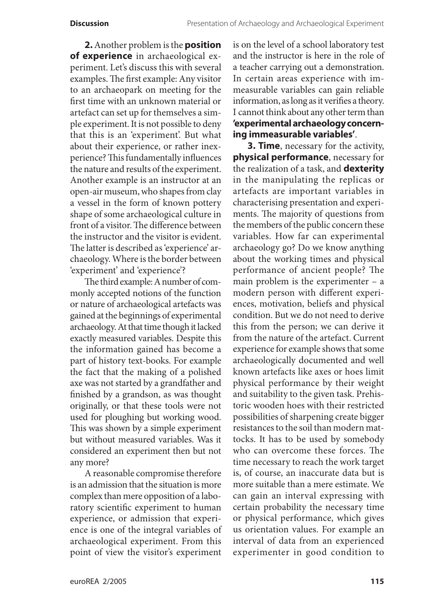**2.** Another problem is the **position of experience** in archaeological experiment. Let's discuss this with several examples. The first example: Any visitor to an archaeopark on meeting for the first time with an unknown material or artefact can set up for themselves a simple experiment. It is not possible to deny that this is an 'experiment'. But what about their experience, or rather inexperience? This fundamentally influences the nature and results of the experiment. Another example is an instructor at an open-air museum, who shapes from clay a vessel in the form of known pottery shape of some archaeological culture in front of a visitor. The difference between the instructor and the visitor is evident. The latter is described as 'experience' archaeology. Where is the border between 'experiment' and 'experience'?

The third example: A number of commonly accepted notions of the function or nature of archaeological artefacts was gained at the beginnings of experimental archaeology. At that time though it lacked exactly measured variables. Despite this the information gained has become a part of history text-books. For example the fact that the making of a polished axe was not started by a grandfather and finished by a grandson, as was thought originally, or that these tools were not used for ploughing but working wood. This was shown by a simple experiment but without measured variables. Was it considered an experiment then but not any more?

A reasonable compromise therefore is an admission that the situation is more complex than mere opposition of a laboratory scientific experiment to human experience, or admission that experience is one of the integral variables of archaeological experiment. From this point of view the visitor's experiment is on the level of a school laboratory test and the instructor is here in the role of a teacher carrying out a demonstration. In certain areas experience with immeasurable variables can gain reliable information, as long as it verifies a theory. I cannot think about any other term than **'experimental archaeology concerning immeasurable variables'**.

**3. Time**, necessary for the activity, **physical performance**, necessary for the realization of a task, and **dexterity** in the manipulating the replicas or artefacts are important variables in characterising presentation and experiments. The majority of questions from the members of the public concern these variables. How far can experimental archaeology go? Do we know anything about the working times and physical performance of ancient people? The main problem is the experimenter – a modern person with different experiences, motivation, beliefs and physical condition. But we do not need to derive this from the person; we can derive it from the nature of the artefact. Current experience for example shows that some archaeologically documented and well known artefacts like axes or hoes limit physical performance by their weight and suitability to the given task. Prehistoric wooden hoes with their restricted possibilities of sharpening create bigger resistances to the soil than modern mattocks. It has to be used by somebody who can overcome these forces. The time necessary to reach the work target is, of course, an inaccurate data but is more suitable than a mere estimate. We can gain an interval expressing with certain probability the necessary time or physical performance, which gives us orientation values. For example an interval of data from an experienced experimenter in good condition to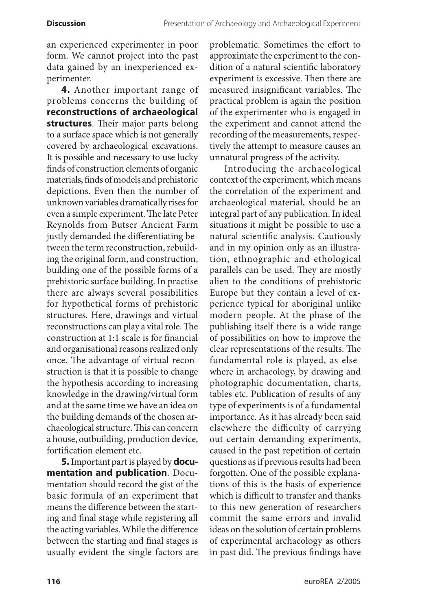an experienced experimenter in poor form. We cannot project into the past data gained by an inexperienced experimenter.

**4.** Another important range of pr oblems concerns the building of **reconstructions of archaeological structures**. Their major parts belong to a surface space which is not generally covered by archaeological excavations. It is possible and necessary to use lucky finds of construction elements of organic materials, finds of models and prehistoric depictions. Even then the number of unknown variables dramatically rises for even a simple experiment. The late Peter Reynolds from Butser Ancient Farm justly demanded the differentiating between the term reconstruction, rebuilding the original form, and construction, building one of the possible forms of a prehistoric surface building. In practise there are always several possibilities for hypothetical forms of prehistoric structures. Here, drawings and virtual reconstructions can play a vital role. The construction at 1:1 scale is for financial and organisational reasons realized only once. The advantage of virtual reconstruction is that it is possible to change the hypothesis according to increasing knowledge in the drawing/virtual form and at the same time we have an idea on the building demands of the chosen archaeological structure. This can concern a house, outbuilding, production device, fortification element etc.

**5.** Important part is played by **documentation and publication**. Documentation should record the gist of the basic formula of an experiment that means the difference between the starting and final stage while registering all the acting variables. While the difference between the starting and final stages is usually evident the single factors are

problematic. Sometimes the effort to approximate the experiment to the condition of a natural scientific laboratory experiment is excessive. Then there are measured insignificant variables. The practical problem is again the position of the experimenter who is engaged in the experiment and cannot attend the recording of the measurements, respectively the attempt to measure causes an unnatural progress of the activity.

Introducing the archaeological context of the experiment, which means the correlation of the experiment and archaeological material, should be an integral part of any publication. In ideal situations it might be possible to use a natural scientific analysis. Cautiously and in my opinion only as an illustration, ethnographic and ethological parallels can be used. They are mostly alien to the conditions of prehistoric Europe but they contain a level of experience typical for aboriginal unlike modern people. At the phase of the publishing itself there is a wide range of possibilities on how to improve the clear representations of the results. The fundamental role is played, as elsewhere in archaeology, by drawing and photographic documentation, charts, tables etc. Publication of results of any type of experiments is of a fundamental importance. As it has already been said elsewhere the difficulty of carrying out certain demanding experiments, caused in the past repetition of certain questions as if previous results had been forgotten. One of the possible explanations of this is the basis of experience which is difficult to transfer and thanks to this new generation of researchers commit the same errors and invalid ideas on the solution of certain problems of experimental archaeology as others in past did. The previous findings have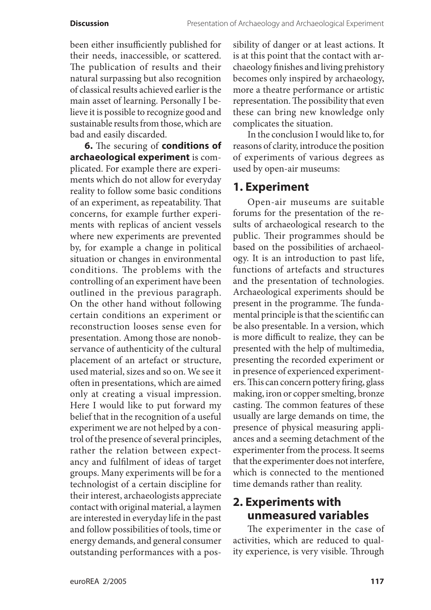been either insufficiently published for their needs, inaccessible, or scattered. The publication of results and their natural surpassing but also recognition of classical results achieved earlier is the main asset of learning. Personally I believe it is possible to recognize good and sustainable results from those, which are bad and easily discarded.

**6.** The securing of **conditions of archaeological experiment** is complicated. For example there are experiments which do not allow for everyday reality to follow some basic conditions of an experiment, as repeatability. That concerns, for example further experiments with replicas of ancient vessels where new experiments are prevented by, for example a change in political situation or changes in environmental conditions. The problems with the controlling of an experiment have been outlined in the previous paragraph. On the other hand without following certain conditions an experiment or reconstruction looses sense even for presentation. Among those are nonobservance of authenticity of the cultural placement of an artefact or structure, used material, sizes and so on. We see it often in presentations, which are aimed only at creating a visual impression. Here I would like to put forward my belief that in the recognition of a useful experiment we are not helped by a control of the presence of several principles, rather the relation between expectancy and fulfilment of ideas of target groups. Many experiments will be for a technologist of a certain discipline for their interest, archaeologists appreciate contact with original material, a laymen are interested in everyday life in the past and follow possibilities of tools, time or energy demands, and general consumer outstanding performances with a possibility of danger or at least actions. It is at this point that the contact with archaeology finishes and living prehistory becomes only inspired by archaeology, more a theatre performance or artistic representation. The possibility that even these can bring new knowledge only complicates the situation.

In the conclusion I would like to, for reasons of clarity, introduce the position of experiments of various degrees as used by open-air museums:

# **1. Experiment**

Open-air museums are suitable forums for the presentation of the results of archaeological research to the public. Their programmes should be based on the possibilities of archaeology. It is an introduction to past life, functions of artefacts and structures and the presentation of technologies. Archaeological experiments should be present in the programme. The fundamental principle is that the scientific can be also presentable. In a version, which is more difficult to realize, they can be presented with the help of multimedia, presenting the recorded experiment or in presence of experienced experimenters. This can concern pottery firing, glass making, iron or copper smelting, bronze casting. The common features of these usually are large demands on time, the presence of physical measuring appliances and a seeming detachment of the experimenter from the process. It seems that the experimenter does not interfere, which is connected to the mentioned time demands rather than reality.

# **2. Experiments with unmeasured variables**

The experimenter in the case of activities, which are reduced to quality experience, is very visible. Through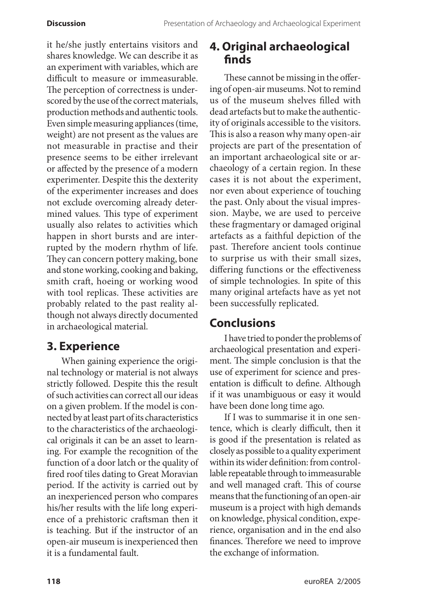it he/she justly entertains visitors and shares knowledge. We can describe it as an experiment with variables, which are difficult to measure or immeasurable. The perception of correctness is underscored by the use of the correct materials, production methods and authentic tools. Even simple measuring appliances (time, weight) are not present as the values are not measurable in practise and their presence seems to be either irrelevant or affected by the presence of a modern experimenter. Despite this the dexterity of the experimenter increases and does not exclude overcoming already determined values. This type of experiment usually also relates to activities which happen in short bursts and are interrupted by the modern rhythm of life. They can concern pottery making, bone and stone working, cooking and baking, smith craft, hoeing or working wood with tool replicas. These activities are probably related to the past reality although not always directly documented in archaeological material.

# **3. Experience**

When gaining experience the original technology or material is not always strictly followed. Despite this the result of such activities can correct all our ideas on a given problem. If the model is connected by at least part of its characteristics to the characteristics of the archaeological originals it can be an asset to learning. For example the recognition of the function of a door latch or the quality of fired roof tiles dating to Great Moravian period. If the activity is carried out by an inexperienced person who compares his/her results with the life long experience of a prehistoric craftsman then it is teaching. But if the instructor of an open-air museum is inexperienced then it is a fundamental fault.

# **4. Original archaeological finds**

These cannot be missing in the offering of open-air museums. Not to remind us of the museum shelves filled with dead artefacts but to make the authenticity of originals accessible to the visitors. This is also a reason why many open-air projects are part of the presentation of an important archaeological site or archaeology of a certain region. In these cases it is not about the experiment, nor even about experience of touching the past. Only about the visual impression. Maybe, we are used to perceive these fragmentary or damaged original artefacts as a faithful depiction of the past. Therefore ancient tools continue to surprise us with their small sizes, differing functions or the effectiveness of simple technologies. In spite of this many original artefacts have as yet not been successfully replicated.

# **Conclusions**

I have tried to ponder the problems of archaeological presentation and experiment. The simple conclusion is that the use of experiment for science and presentation is difficult to define. Although if it was unambiguous or easy it would have been done long time ago.

If I was to summarise it in one sentence, which is clearly difficult, then it is good if the presentation is related as closely as possible to a quality experiment within its wider definition: from controllable repeatable through to immeasurable and well managed craft. This of course means that the functioning of an open-air museum is a project with high demands on knowledge, physical condition, experience, organisation and in the end also finances. Therefore we need to improve the exchange of information.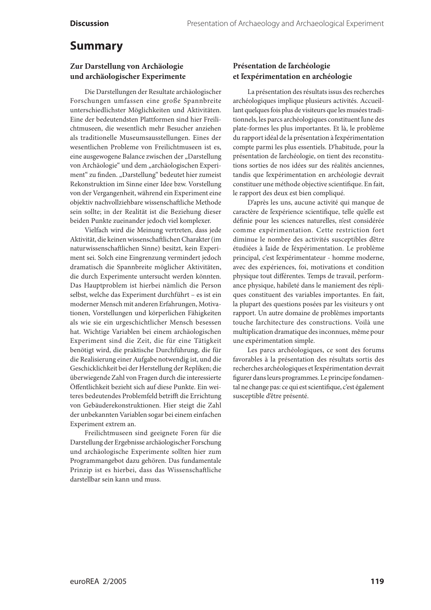## **Summary**

#### **Zur Darstellung von Archäologie und archäologischer Experimente**

Die Darstellungen der Resultate archäologischer Forschungen umfassen eine große Spannbreite unterschiedlichster Möglichkeiten und Aktivitäten. Eine der bedeutendsten Plattformen sind hier Freilichtmuseen, die wesentlich mehr Besucher anziehen als traditionelle Museumsausstellungen. Eines der wesentlichen Probleme von Freilichtmuseen ist es, eine ausgewogene Balance zwischen der "Darstellung von Archäologie" und dem "archäologischen Experiment" zu finden. "Darstellung" bedeutet hier zumeist Rekonstruktion im Sinne einer Idee bzw. Vorstellung von der Vergangenheit, während ein Experiment eine objektiv nachvollziehbare wissenschaftliche Methode sein sollte; in der Realität ist die Beziehung dieser beiden Punkte zueinander jedoch viel komplexer.

Vielfach wird die Meinung vertreten, dass jede Aktivität, die keinen wissenschaftlichen Charakter (im naturwissenschaftlichen Sinne) besitzt, kein Experiment sei. Solch eine Eingrenzung vermindert jedoch dramatisch die Spannbreite möglicher Aktivitäten, die durch Experimente untersucht werden könnten. Das Hauptproblem ist hierbei nämlich die Person selbst, welche das Experiment durchführt – es ist ein moderner Mensch mit anderen Erfahrungen, Motivationen, Vorstellungen und körperlichen Fähigkeiten als wie sie ein urgeschichtlicher Mensch besessen hat. Wichtige Variablen bei einem archäologischen Experiment sind die Zeit, die für eine Tätigkeit benötigt wird, die praktische Durchführung, die für die Realisierung einer Aufgabe notwendig ist, und die Geschicklichkeit bei der Herstellung der Repliken; die überwiegende Zahl von Fragen durch die interessierte Öffentlichkeit bezieht sich auf diese Punkte. Ein weiteres bedeutendes Problemfeld betrifft die Errichtung von Gebäuderekonstruktionen. Hier steigt die Zahl der unbekannten Variablen sogar bei einem einfachen Experiment extrem an.

Freilichtmuseen sind geeignete Foren für die Darstellung der Ergebnisse archäologischer Forschung und archäologische Experimente sollten hier zum Programmangebot dazu gehören. Das fundamentale Prinzip ist es hierbei, dass das Wissenschaftliche darstellbar sein kann und muss.

#### **Présentation de ľarchéologie et ľexpérimentation en archéologie**

La présentation des résultats issus des recherches archéologiques implique plusieurs activités. Accueillant quelques fois plus de visiteurs que les musées traditionnels, les parcs archéologiques constituent ľune des plate-formes les plus importantes. Et là, le problème du rapport idéal de la présentation à ľexpérimentation compte parmi les plus essentiels. D'habitude, pour la présentation de ľarchéologie, on tient des reconstitutions sorties de nos idées sur des réalités anciennes, tandis que ľexpérimentation en archéologie devrait constituer une méthode objective scientifique. En fait, le rapport des deux est bien compliqué.

D'après les uns, aucune activité qui manque de caractère de ľexpérience scientifique, telle qu'elle est définie pour les sciences naturelles, n'est considérée comme expérimentation. Cette restriction fort diminue le nombre des activités susceptibles ďêtre étudiées à ľaide de ľéxpérimentation. Le problème principal, c'est ľexpérimentateur - homme moderne, avec des expériences, foi, motivations et condition physique tout différentes. Temps de travail, performance physique, habileté dans le maniement des répliques constituent des variables importantes. En fait, la plupart des questions posées par les visiteurs y ont rapport. Un autre domaine de problèmes importants touche ľarchitecture des constructions. Voilà une multiplication dramatique des inconnues, même pour une expérimentation simple.

Les parcs archéologiques, ce sont des forums favorables à la présentation des résultats sortis des recherches archéologiques et ľexpérimentation devrait figurer dans leurs programmes. Le principe fondamental ne change pas: ce qui est scientifique, c'est également susceptible d'être présenté.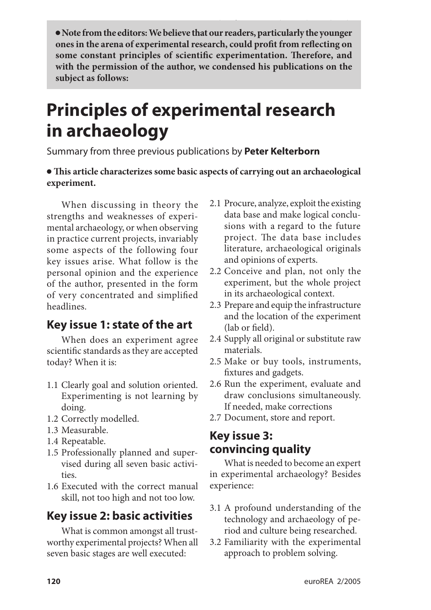**Note from the editors: We believe that our readers, particularly the younger ones in the arena of experimental research, could profit from reflecting on some constant principles of scientific experimentation. Therefore, and with the permission of the author, we condensed his publications on the subject as follows:**

# **Principles of experimental research in archaeology**

Summary from three previous publications by **Peter Kelterborn**

### **This article characterizes some basic aspects of carrying out an archaeological experiment.**

When discussing in theory the strengths and weaknesses of experimental archaeology, or when observing in practice current projects, invariably some aspects of the following four key issues arise. What follow is the personal opinion and the experience of the author, presented in the form of very concentrated and simplified headlines.

## **Key issue 1: state of the art**

When does an experiment agree scientific standards as they are accepted today? When it is:

- 1.1 Clearly goal and solution oriented. Experimenting is not learning by doing.
- 1.2 Correctly modelled.
- 1.3 Measurable.
- 1.4 Repeatable.
- 1.5 Professionally planned and supervised during all seven basic activities.
- 1.6 Executed with the correct manual skill, not too high and not too low.

# **Key issue 2: basic activities**

What is common amongst all trustworthy experimental projects? When all seven basic stages are well executed:

- 2.1 Procure, analyze, exploit the existing data base and make logical conclusions with a regard to the future project. The data base includes literature, archaeological originals and opinions of experts.
- 2.2 Conceive and plan, not only the experiment, but the whole project in its archaeological context.
- 2.3 Prepare and equip the infrastructure and the location of the experiment (lab or field).
- 2.4 Supply all original or substitute raw materials.
- 2.5 Make or buy tools, instruments, fixtures and gadgets.
- 2.6 Run the experiment, evaluate and draw conclusions simultaneously. If needed, make corrections
- 2.7 Document, store and report.

# **Key issue 3: convincing quality**

What is needed to become an expert in experimental archaeology? Besides experience:

- 3.1 A profound understanding of the technology and archaeology of period and culture being researched.
- 3.2 Familiarity with the experimental approach to problem solving.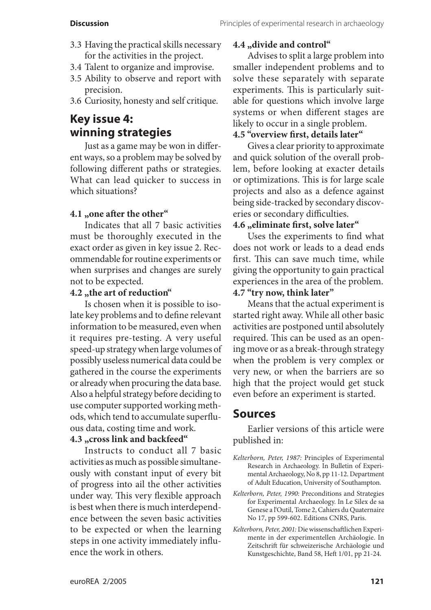- 3.3 Having the practical skills necessary for the activities in the project.
- 3.4 Talent to organize and improvise.
- 3.5 Ability to observe and report with precision.
- 3.6 Curiosity, honesty and self critique.

# **Key issue 4: winning strategies**

Just as a game may be won in different ways, so a problem may be solved by following different paths or strategies. What can lead quicker to success in which situations?

### **4.1 "one after the other"**

Indicates that all 7 basic activities must be thoroughly executed in the exact order as given in key issue 2. Recommendable for routine experiments or when surprises and changes are surely not to be expected.

### **4.2 "the art of reduction"**

Is chosen when it is possible to isolate key problems and to define relevant information to be measured, even when it requires pre-testing. A very useful speed-up strategy when large volumes of possibly useless numerical data could be gathered in the course the experiments or already when procuring the data base. Also a helpful strategy before deciding to use computer supported working methods, which tend to accumulate superfluous data, costing time and work.

#### **4.3 "cross link and backfeed"**

Instructs to conduct all 7 basic activities as much as possible simultaneously with constant input of every bit of progress into ail the other activities under way. This very flexible approach is best when there is much interdependence between the seven basic activities to be expected or when the learning steps in one activity immediately influence the work in others.

### **4.4 "divide and control"**

Advises to split a large problem into smaller independent problems and to solve these separately with separate experiments. This is particularly suitable for questions which involve large systems or when different stages are likely to occur in a single problem.

## **4.5 "overview first, details later"**

Gives a clear priority to approximate and quick solution of the overall problem, before looking at exacter details or optimizations. This is for large scale projects and also as a defence against being side-tracked by secondary discoveries or secondary difficulties.

### **4.6 "eliminate first, solve later"**

Uses the experiments to find what does not work or leads to a dead ends first. This can save much time, while giving the opportunity to gain practical experiences in the area of the problem.

### **4.7 "try now, think later"**

Means that the actual experiment is started right away. While all other basic activities are postponed until absolutely required. This can be used as an opening move or as a break-through strategy when the problem is very complex or very new, or when the barriers are so high that the project would get stuck even before an experiment is started.

## **Sources**

Earlier versions of this article were published in:

- *Kelterborn, Peter, 1987:* Principles of Experimental Research in Archaeology. In Bulletin of Experimental Archaeology, No 8, pp 11-12. Department of Adult Education, University of Southampton.
- *Kelterborn, Peter, 1990:* Preconditions and Strategies for Experimental Archaeology. In Le Silex de sa Genese a l'Outil, Tome 2, Cahiers du Quaternaire No 17, pp 599-602. Editions CNRS, Paris.
- *Kelterborn, Peter, 2001:* Die wissenschaftlichen Experimente in der experimentellen Archäologie. In Zeitschrift für schweizerische Archäologie und Kunstgeschichte, Band 58, Heft 1/01, pp 21-24.